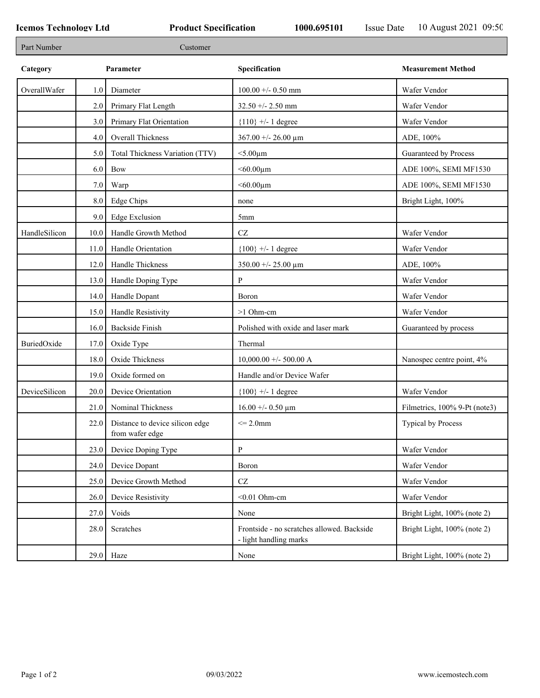| Part Number   |      | Customer                                           |                                                                      |                               |
|---------------|------|----------------------------------------------------|----------------------------------------------------------------------|-------------------------------|
| Category      |      | Parameter                                          | Specification                                                        | <b>Measurement Method</b>     |
| OverallWafer  | 1.0  | Diameter                                           | $100.00 + - 0.50$ mm                                                 | Wafer Vendor                  |
|               | 2.0  | Primary Flat Length                                | $32.50 + - 2.50$ mm                                                  | Wafer Vendor                  |
|               | 3.0  | Primary Flat Orientation                           | ${110}$ +/- 1 degree                                                 | Wafer Vendor                  |
|               | 4.0  | Overall Thickness                                  | $367.00 + - 26.00 \mu m$                                             | ADE, 100%                     |
|               | 5.0  | Total Thickness Variation (TTV)                    | $<$ 5.00 $\mu$ m                                                     | Guaranteed by Process         |
|               | 6.0  | Bow                                                | $<$ 60.00 $\mu$ m                                                    | ADE 100%, SEMI MF1530         |
|               | 7.0  | Warp                                               | $<$ 60.00 $\mu$ m                                                    | ADE 100%, SEMI MF1530         |
|               | 8.0  | <b>Edge Chips</b>                                  | none                                                                 | Bright Light, 100%            |
|               | 9.0  | <b>Edge Exclusion</b>                              | 5mm                                                                  |                               |
| HandleSilicon | 10.0 | Handle Growth Method                               | $\operatorname{CZ}$                                                  | Wafer Vendor                  |
|               | 11.0 | Handle Orientation                                 | ${100}$ +/- 1 degree                                                 | Wafer Vendor                  |
|               | 12.0 | Handle Thickness                                   | $350.00 + - 25.00 \mu m$                                             | ADE, 100%                     |
|               | 13.0 | Handle Doping Type                                 | P                                                                    | Wafer Vendor                  |
|               | 14.0 | Handle Dopant                                      | Boron                                                                | Wafer Vendor                  |
|               | 15.0 | Handle Resistivity                                 | >1 Ohm-cm                                                            | Wafer Vendor                  |
|               | 16.0 | <b>Backside Finish</b>                             | Polished with oxide and laser mark                                   | Guaranteed by process         |
| BuriedOxide   | 17.0 | Oxide Type                                         | Thermal                                                              |                               |
|               | 18.0 | Oxide Thickness                                    | $10,000.00 +/- 500.00$ A                                             | Nanospec centre point, 4%     |
|               | 19.0 | Oxide formed on                                    | Handle and/or Device Wafer                                           |                               |
| DeviceSilicon | 20.0 | Device Orientation                                 | ${100}$ +/- 1 degree                                                 | Wafer Vendor                  |
|               | 21.0 | Nominal Thickness                                  | $16.00 + - 0.50 \mu m$                                               | Filmetrics, 100% 9-Pt (note3) |
|               | 22.0 | Distance to device silicon edge<br>from wafer edge | $\leq$ 2.0mm                                                         | Typical by Process            |
|               | 23.0 | Device Doping Type                                 | $\mathbf{P}$                                                         | Wafer Vendor                  |
|               | 24.0 | Device Dopant                                      | Boron                                                                | Wafer Vendor                  |
|               | 25.0 | Device Growth Method                               | $\operatorname{CZ}$                                                  | Wafer Vendor                  |
|               | 26.0 | Device Resistivity                                 | $<$ 0.01 Ohm-cm                                                      | Wafer Vendor                  |
|               | 27.0 | Voids                                              | None                                                                 | Bright Light, 100% (note 2)   |
|               | 28.0 | Scratches                                          | Frontside - no scratches allowed. Backside<br>- light handling marks | Bright Light, 100% (note 2)   |
|               |      | $29.0$ Haze                                        | None                                                                 | Bright Light, 100% (note 2)   |